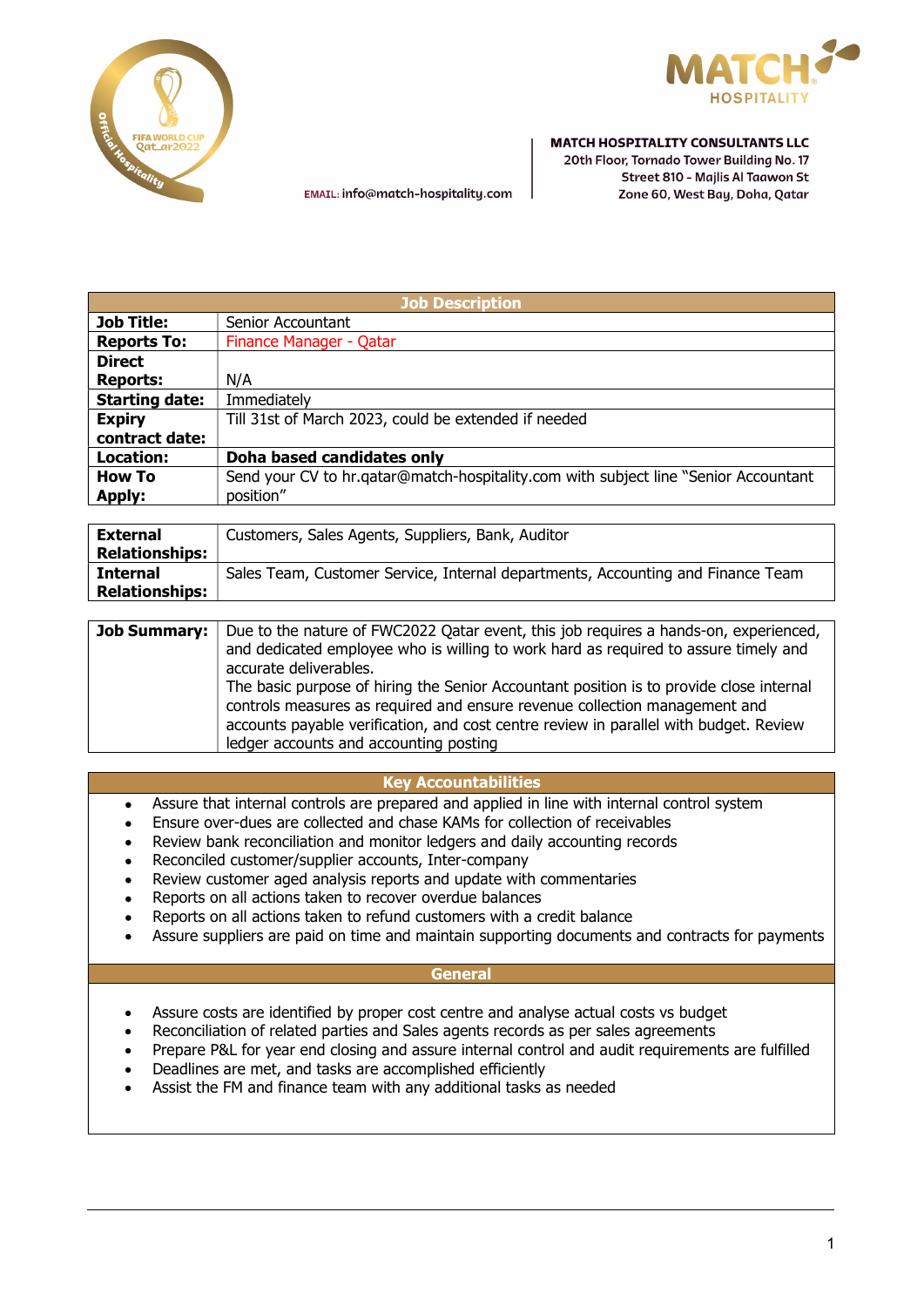



EMAIL: info@match-hospitality.com

#### **MATCH HOSPITALITY CONSULTANTS LLC**

20th Floor, Tornado Tower Building No. 17 Street 810 - Majlis Al Taawon St Zone 60, West Bay, Doha, Qatar

| <b>Job Description</b> |                                                                                      |
|------------------------|--------------------------------------------------------------------------------------|
| <b>Job Title:</b>      | Senior Accountant                                                                    |
| <b>Reports To:</b>     | Finance Manager - Qatar                                                              |
| <b>Direct</b>          |                                                                                      |
| <b>Reports:</b>        | N/A                                                                                  |
| <b>Starting date:</b>  | Immediately                                                                          |
| <b>Expiry</b>          | Till 31st of March 2023, could be extended if needed                                 |
| contract date:         |                                                                                      |
| Location:              | Doha based candidates only                                                           |
| <b>How To</b>          | Send your CV to hr.qatar@match-hospitality.com with subject line "Senior Accountant" |
| <b>Apply:</b>          | position"                                                                            |
|                        |                                                                                      |

| <b>External</b>       | Customers, Sales Agents, Suppliers, Bank, Auditor                               |
|-----------------------|---------------------------------------------------------------------------------|
| <b>Relationships:</b> |                                                                                 |
| <b>Internal</b>       | Sales Team, Customer Service, Internal departments, Accounting and Finance Team |
| <b>Relationships:</b> |                                                                                 |

| <b>Job Summary:</b> | Due to the nature of FWC2022 Qatar event, this job requires a hands-on, experienced,    |
|---------------------|-----------------------------------------------------------------------------------------|
|                     | and dedicated employee who is willing to work hard as required to assure timely and     |
|                     | accurate deliverables.                                                                  |
|                     | The basic purpose of hiring the Senior Accountant position is to provide close internal |
|                     | controls measures as required and ensure revenue collection management and              |
|                     | accounts payable verification, and cost centre review in parallel with budget. Review   |
|                     | ledger accounts and accounting posting                                                  |

# Key Accountabilities

- Assure that internal controls are prepared and applied in line with internal control system
- Ensure over-dues are collected and chase KAMs for collection of receivables
- Review bank reconciliation and monitor ledgers and daily accounting records
- Reconciled customer/supplier accounts, Inter-company
- Review customer aged analysis reports and update with commentaries
- Reports on all actions taken to recover overdue balances
- Reports on all actions taken to refund customers with a credit balance
- Assure suppliers are paid on time and maintain supporting documents and contracts for payments

#### **General**

- Assure costs are identified by proper cost centre and analyse actual costs vs budget
- Reconciliation of related parties and Sales agents records as per sales agreements
- Prepare P&L for year end closing and assure internal control and audit requirements are fulfilled
- Deadlines are met, and tasks are accomplished efficiently
- Assist the FM and finance team with any additional tasks as needed